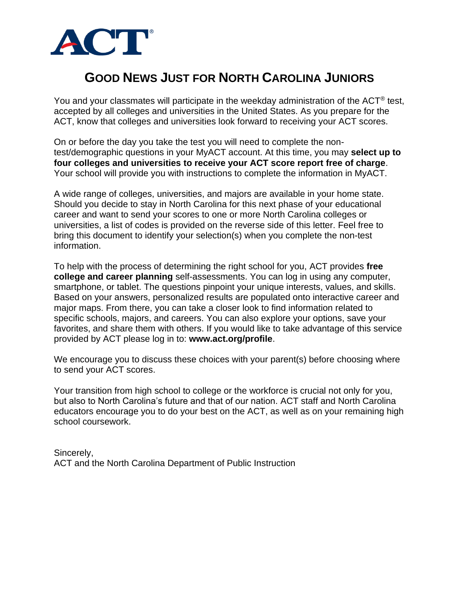

## **GOOD NEWS JUST FOR NORTH CAROLINA JUNIORS**

You and your classmates will participate in the weekday administration of the ACT<sup>®</sup> test, accepted by all colleges and universities in the United States. As you prepare for the ACT, know that colleges and universities look forward to receiving your ACT scores.

On or before the day you take the test you will need to complete the nontest/demographic questions in your MyACT account. At this time, you may **select up to four colleges and universities to receive your ACT score report free of charge**. Your school will provide you with instructions to complete the information in MyACT.

A wide range of colleges, universities, and majors are available in your home state. Should you decide to stay in North Carolina for this next phase of your educational career and want to send your scores to one or more North Carolina colleges or universities, a list of codes is provided on the reverse side of this letter. Feel free to bring this document to identify your selection(s) when you complete the non-test information.

To help with the process of determining the right school for you, ACT provides **free college and career planning** self-assessments. You can log in using any computer, smartphone, or tablet. The questions pinpoint your unique interests, values, and skills. Based on your answers, personalized results are populated onto interactive career and major maps. From there, you can take a closer look to find information related to specific schools, majors, and careers. You can also explore your options, save your favorites, and share them with others. If you would like to take advantage of this service provided by ACT please log in to: **[www.act.org/profile](http://www.act.org/profile)**.

We encourage you to discuss these choices with your parent(s) before choosing where to send your ACT scores.

Your transition from high school to college or the workforce is crucial not only for you, but also to North Carolina's future and that of our nation. ACT staff and North Carolina educators encourage you to do your best on the ACT, as well as on your remaining high school coursework.

Sincerely, ACT and the North Carolina Department of Public Instruction